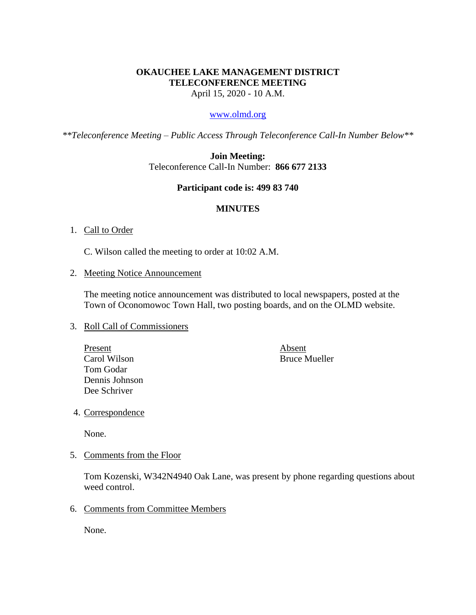# **OKAUCHEE LAKE MANAGEMENT DISTRICT TELECONFERENCE MEETING** April 15, 2020 - 10 A.M.

### [www.olmd.org](http://www.olmd.org/)

*\*\*Teleconference Meeting – Public Access Through Teleconference Call-In Number Below\*\**

**Join Meeting:** 

Teleconference Call-In Number: **866 677 2133**

### **Participant code is: 499 83 740**

## **MINUTES**

### 1. Call to Order

C. Wilson called the meeting to order at 10:02 A.M.

### 2. Meeting Notice Announcement

The meeting notice announcement was distributed to local newspapers, posted at the Town of Oconomowoc Town Hall, two posting boards, and on the OLMD website.

## 3. Roll Call of Commissioners

Present Absent Carol Wilson Bruce Mueller Tom Godar Dennis Johnson Dee Schriver

## 4. Correspondence

None.

#### 5. Comments from the Floor

Tom Kozenski, W342N4940 Oak Lane, was present by phone regarding questions about weed control.

6. Comments from Committee Members

None.